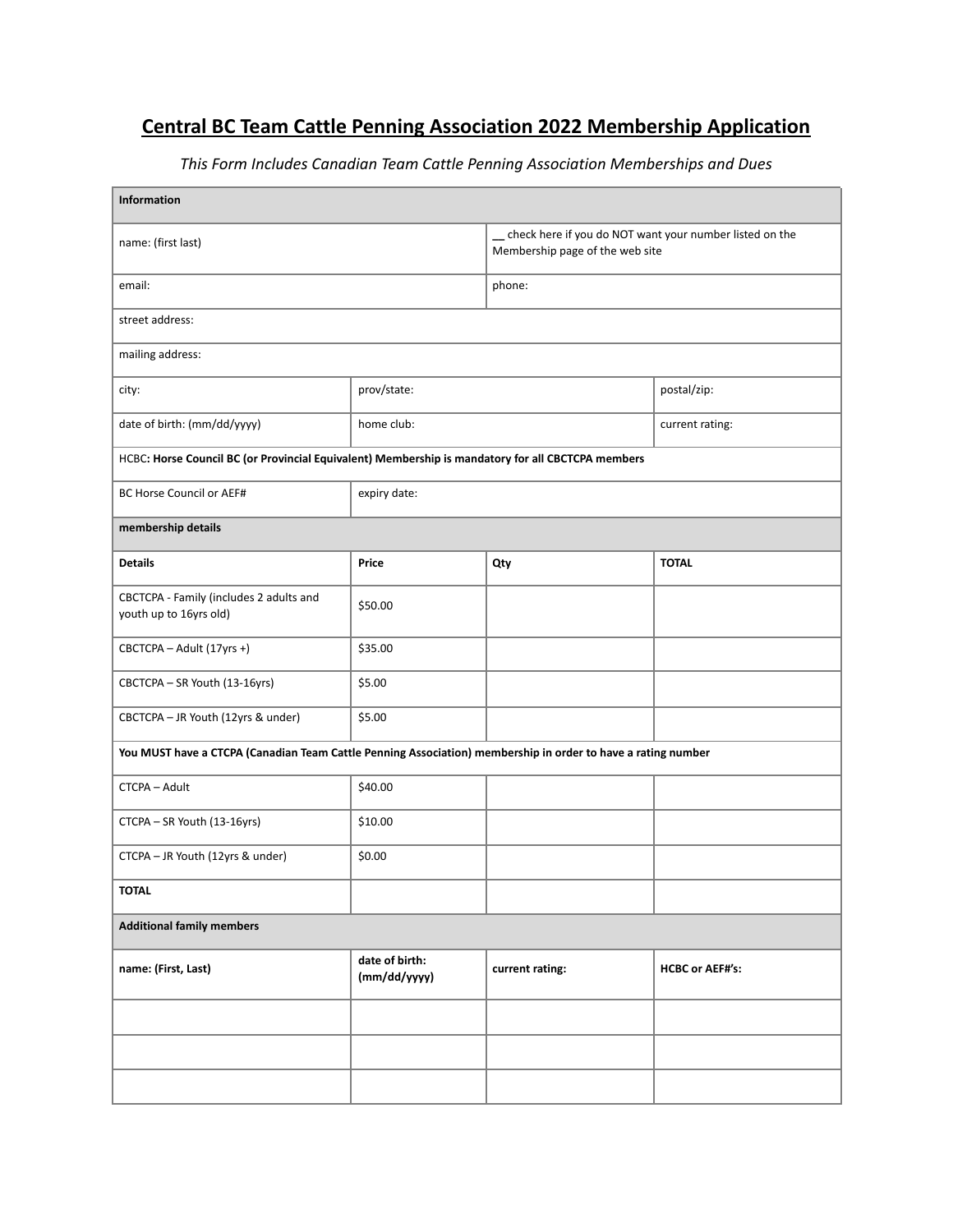## **Central BC Team Cattle Penning Association 2022 Membership Application**

| Information                                                                                                  |                                |                                                                                              |                        |  |  |
|--------------------------------------------------------------------------------------------------------------|--------------------------------|----------------------------------------------------------------------------------------------|------------------------|--|--|
| name: (first last)                                                                                           |                                | _ check here if you do NOT want your number listed on the<br>Membership page of the web site |                        |  |  |
| email:                                                                                                       |                                | phone:                                                                                       |                        |  |  |
| street address:                                                                                              |                                |                                                                                              |                        |  |  |
| mailing address:                                                                                             |                                |                                                                                              |                        |  |  |
| city:                                                                                                        | prov/state:                    |                                                                                              | postal/zip:            |  |  |
| date of birth: (mm/dd/yyyy)                                                                                  | home club:                     |                                                                                              | current rating:        |  |  |
| HCBC: Horse Council BC (or Provincial Equivalent) Membership is mandatory for all CBCTCPA members            |                                |                                                                                              |                        |  |  |
| BC Horse Council or AEF#                                                                                     | expiry date:                   |                                                                                              |                        |  |  |
| membership details                                                                                           |                                |                                                                                              |                        |  |  |
| <b>Details</b>                                                                                               | Price                          | Qty                                                                                          | <b>TOTAL</b>           |  |  |
| CBCTCPA - Family (includes 2 adults and<br>youth up to 16yrs old)                                            | \$50.00                        |                                                                                              |                        |  |  |
| CBCTCPA - Adult (17yrs +)                                                                                    | \$35.00                        |                                                                                              |                        |  |  |
| CBCTCPA - SR Youth (13-16yrs)                                                                                | \$5.00                         |                                                                                              |                        |  |  |
| CBCTCPA - JR Youth (12yrs & under)                                                                           | \$5.00                         |                                                                                              |                        |  |  |
| You MUST have a CTCPA (Canadian Team Cattle Penning Association) membership in order to have a rating number |                                |                                                                                              |                        |  |  |
| CTCPA - Adult                                                                                                | \$40.00                        |                                                                                              |                        |  |  |
| CTCPA - SR Youth (13-16yrs)                                                                                  | \$10.00                        |                                                                                              |                        |  |  |
| CTCPA - JR Youth (12yrs & under)                                                                             | \$0.00                         |                                                                                              |                        |  |  |
| <b>TOTAL</b>                                                                                                 |                                |                                                                                              |                        |  |  |
| <b>Additional family members</b>                                                                             |                                |                                                                                              |                        |  |  |
| name: (First, Last)                                                                                          | date of birth:<br>(mm/dd/yyyy) | current rating:                                                                              | <b>HCBC or AEF#'s:</b> |  |  |
|                                                                                                              |                                |                                                                                              |                        |  |  |
|                                                                                                              |                                |                                                                                              |                        |  |  |
|                                                                                                              |                                |                                                                                              |                        |  |  |

*This Form Includes Canadian Team Cattle Penning Association Memberships and Dues*